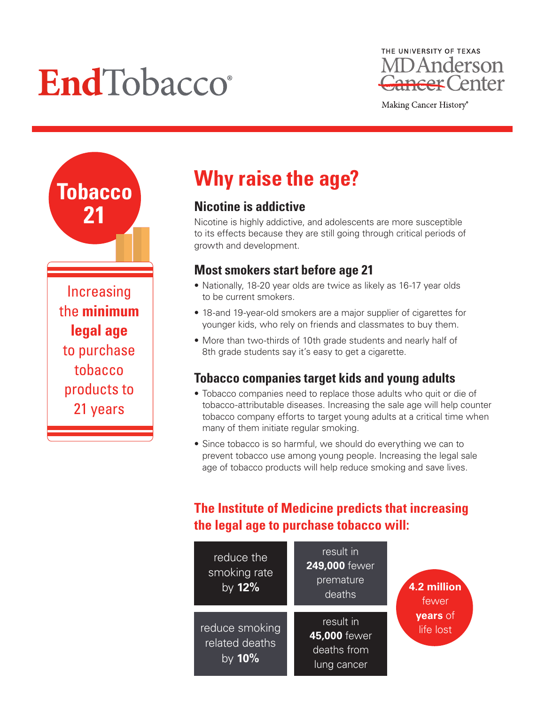# EndTobacco®



Making Cancer History®

**Tobacco 21** Increasing the **minimum legal age** to purchase tobacco products to 21 years

## **Why raise the age?**

## **Nicotine is addictive**

Nicotine is highly addictive, and adolescents are more susceptible to its effects because they are still going through critical periods of growth and development.

### **Most smokers start before age 21**

- Nationally, 18-20 year olds are twice as likely as 16-17 year olds to be current smokers.
- 18-and 19-year-old smokers are a major supplier of cigarettes for younger kids, who rely on friends and classmates to buy them.
- More than two-thirds of 10th grade students and nearly half of 8th grade students say it's easy to get a cigarette.

## **Tobacco companies target kids and young adults**

- Tobacco companies need to replace those adults who quit or die of tobacco-attributable diseases. Increasing the sale age will help counter tobacco company efforts to target young adults at a critical time when many of them initiate regular smoking.
- Since tobacco is so harmful, we should do everything we can to prevent tobacco use among young people. Increasing the legal sale age of tobacco products will help reduce smoking and save lives.

## **The Institute of Medicine predicts that increasing the legal age to purchase tobacco will:**